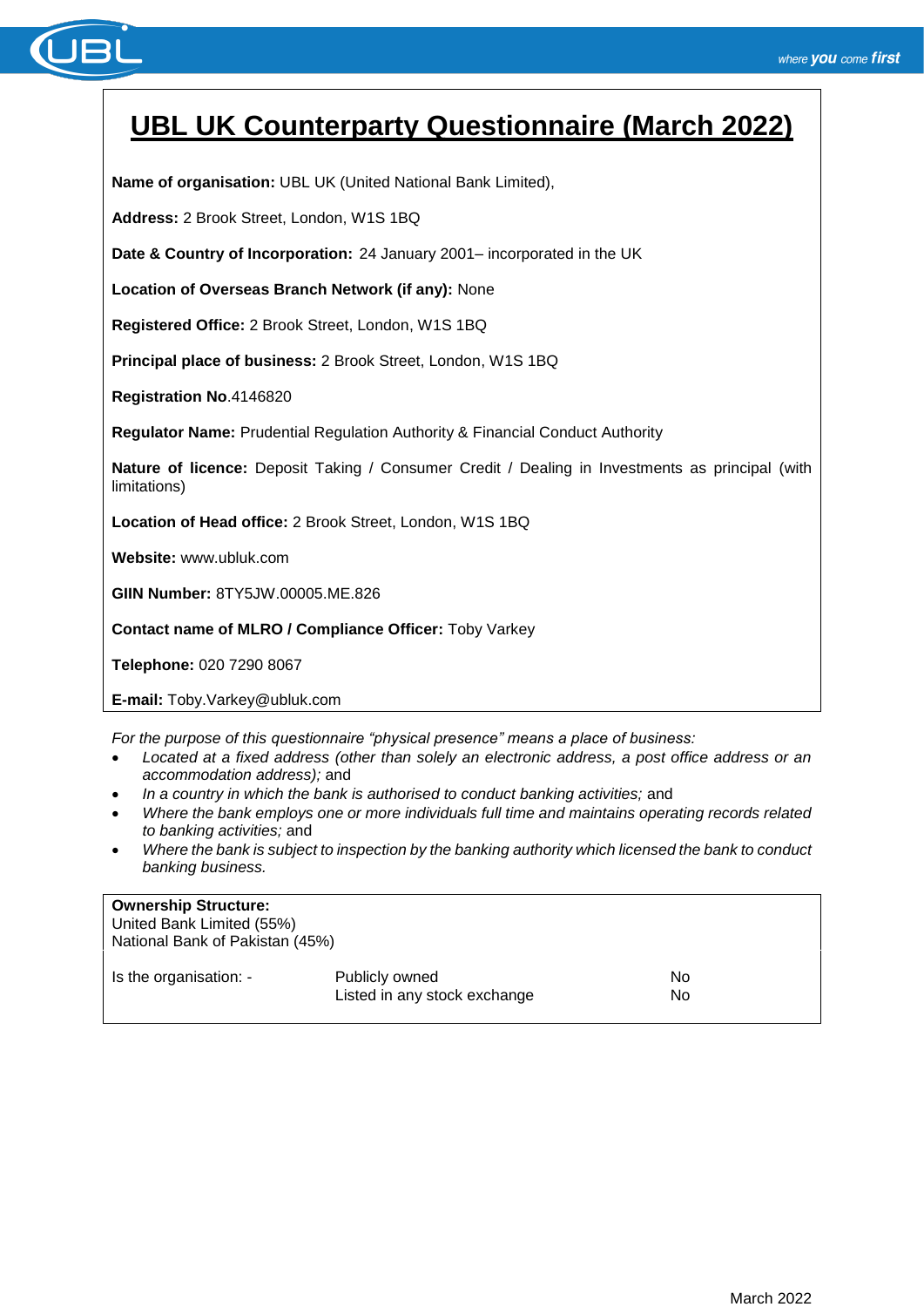

# **UBL UK Counterparty Questionnaire (March 2022)**

**Name of organisation:** UBL UK (United National Bank Limited),

**Address:** 2 Brook Street, London, W1S 1BQ

**Date & Country of Incorporation:** 24 January 2001– incorporated in the UK

**Location of Overseas Branch Network (if any):** None

**Registered Office:** 2 Brook Street, London, W1S 1BQ

**Principal place of business:** 2 Brook Street, London, W1S 1BQ

**Registration No**.4146820

**Regulator Name:** Prudential Regulation Authority & Financial Conduct Authority

**Nature of licence:** Deposit Taking / Consumer Credit / Dealing in Investments as principal (with limitations)

**Location of Head office:** 2 Brook Street, London, W1S 1BQ

**Website:** www.ubluk.com

**GIIN Number:** 8TY5JW.00005.ME.826

**Contact name of MLRO / Compliance Officer:** Toby Varkey

**Telephone:** 020 7290 8067

**E-mail:** Toby.Varkey@ubluk.com

*For the purpose of this questionnaire "physical presence" means a place of business:*

- *Located at a fixed address (other than solely an electronic address, a post office address or an accommodation address);* and
- *In a country in which the bank is authorised to conduct banking activities;* and
- *Where the bank employs one or more individuals full time and maintains operating records related to banking activities;* and
- *Where the bank is subject to inspection by the banking authority which licensed the bank to conduct banking business.*

| <b>Ownership Structure:</b><br>United Bank Limited (55%)<br>National Bank of Pakistan (45%) |                                                |          |
|---------------------------------------------------------------------------------------------|------------------------------------------------|----------|
| Is the organisation: -                                                                      | Publicly owned<br>Listed in any stock exchange | No<br>No |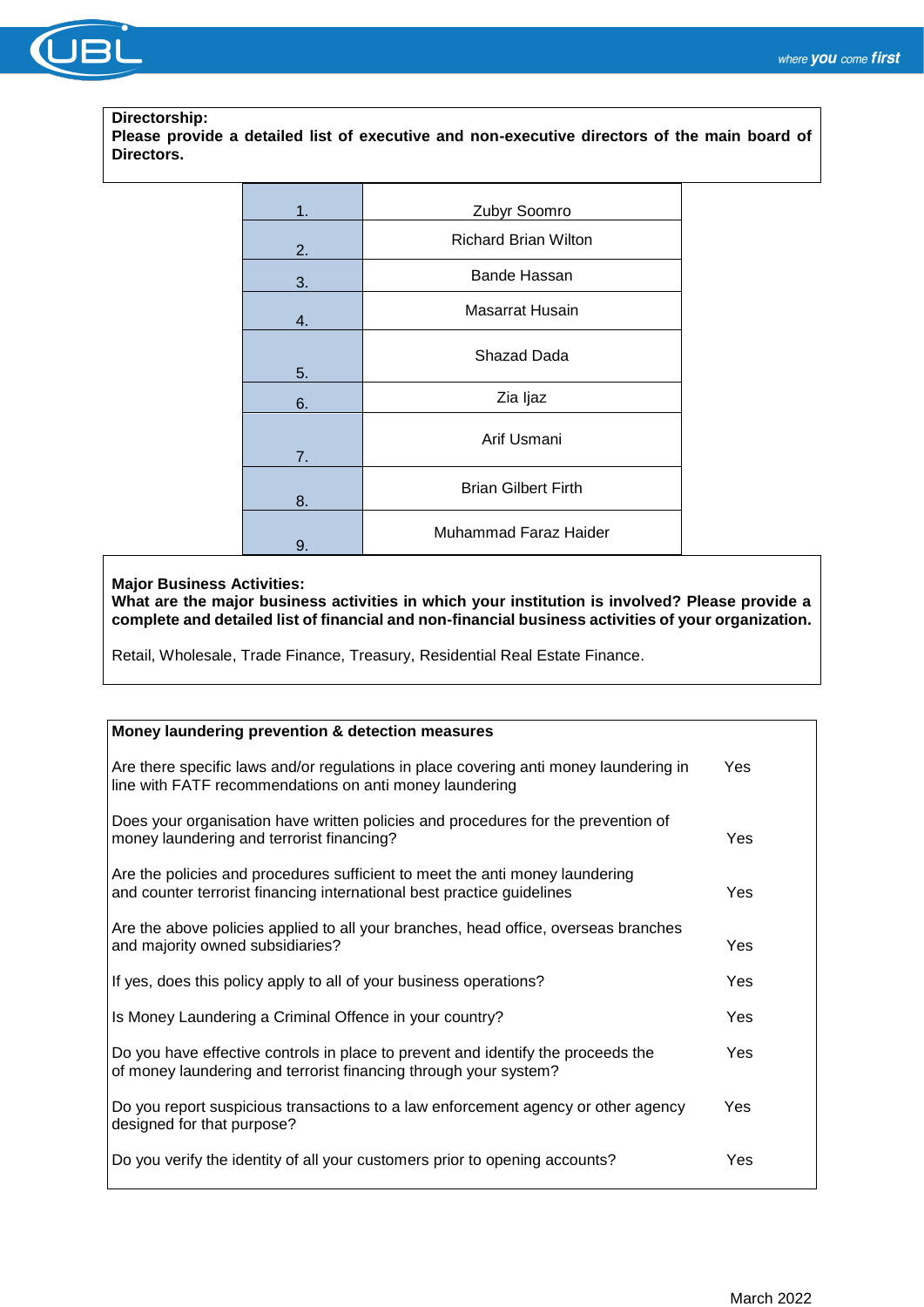

#### **Directorship:**

**Please provide a detailed list of executive and non-executive directors of the main board of Directors.**

| 1. | Zubyr Soomro                |  |
|----|-----------------------------|--|
| 2. | <b>Richard Brian Wilton</b> |  |
| 3. | Bande Hassan                |  |
| 4. | Masarrat Husain             |  |
| 5. | Shazad Dada                 |  |
| 6. | Zia ljaz                    |  |
| 7. | Arif Usmani                 |  |
| 8. | <b>Brian Gilbert Firth</b>  |  |
| 9. | Muhammad Faraz Haider       |  |

### **Major Business Activities:**

**What are the major business activities in which your institution is involved? Please provide a complete and detailed list of financial and non-financial business activities of your organization.**

Retail, Wholesale, Trade Finance, Treasury, Residential Real Estate Finance.

| Money laundering prevention & detection measures                                                                                                       |            |
|--------------------------------------------------------------------------------------------------------------------------------------------------------|------------|
| Are there specific laws and/or regulations in place covering anti money laundering in<br>line with FATF recommendations on anti money laundering       | Yes        |
| Does your organisation have written policies and procedures for the prevention of<br>money laundering and terrorist financing?                         | Yes        |
| Are the policies and procedures sufficient to meet the anti money laundering<br>and counter terrorist financing international best practice guidelines | Yes        |
| Are the above policies applied to all your branches, head office, overseas branches<br>and majority owned subsidiaries?                                | Yes        |
| If yes, does this policy apply to all of your business operations?                                                                                     | <b>Yes</b> |
| Is Money Laundering a Criminal Offence in your country?                                                                                                | Yes        |
| Do you have effective controls in place to prevent and identify the proceeds the<br>of money laundering and terrorist financing through your system?   | <b>Yes</b> |
| Do you report suspicious transactions to a law enforcement agency or other agency<br>designed for that purpose?                                        | Yes        |
| Do you verify the identity of all your customers prior to opening accounts?                                                                            | Yes        |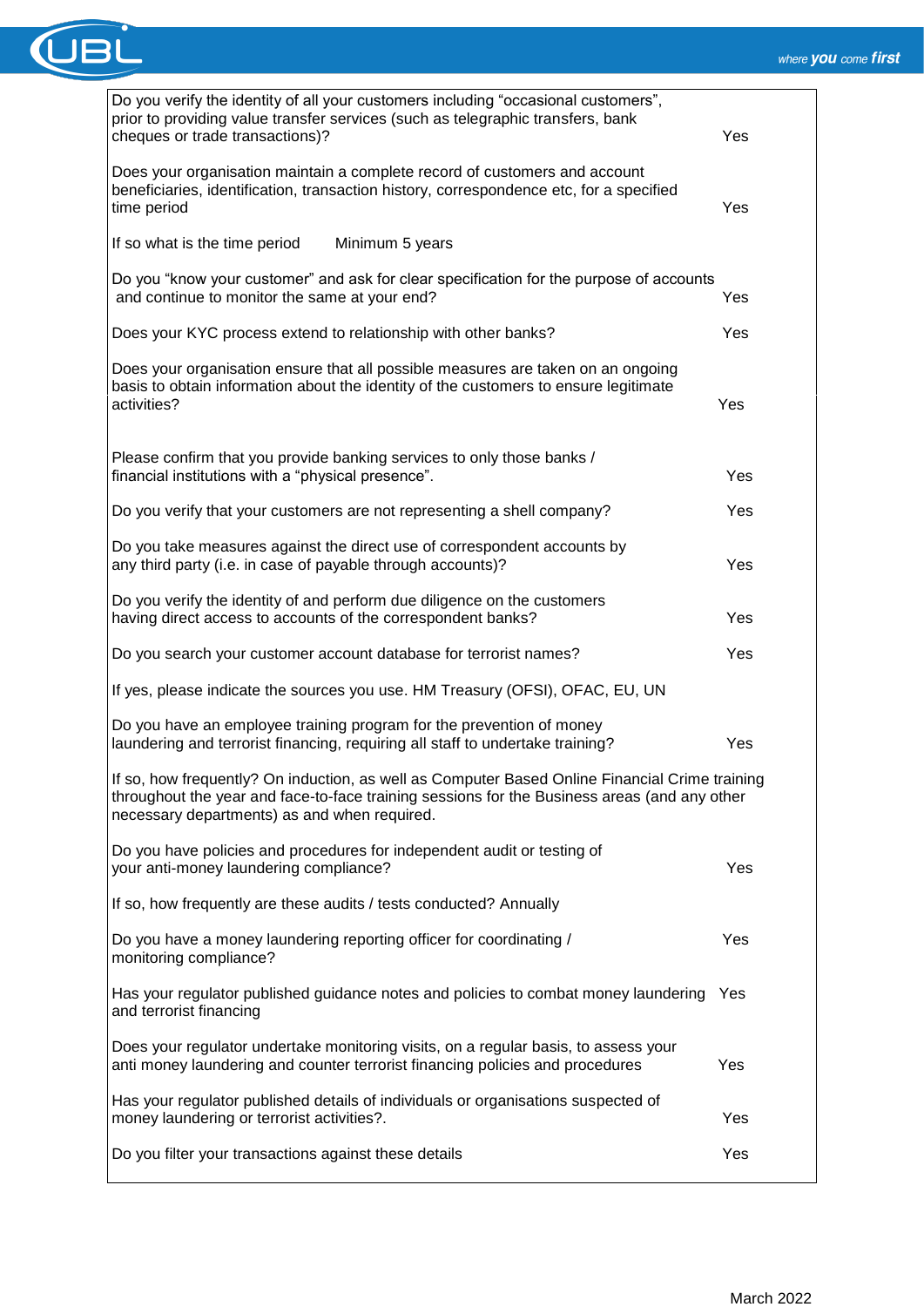

| Do you verify the identity of all your customers including "occasional customers",<br>prior to providing value transfer services (such as telegraphic transfers, bank<br>cheques or trade transactions)?                                       | Yes |
|------------------------------------------------------------------------------------------------------------------------------------------------------------------------------------------------------------------------------------------------|-----|
| Does your organisation maintain a complete record of customers and account<br>beneficiaries, identification, transaction history, correspondence etc, for a specified<br>time period                                                           | Yes |
| If so what is the time period<br>Minimum 5 years                                                                                                                                                                                               |     |
| Do you "know your customer" and ask for clear specification for the purpose of accounts<br>and continue to monitor the same at your end?                                                                                                       | Yes |
| Does your KYC process extend to relationship with other banks?                                                                                                                                                                                 | Yes |
| Does your organisation ensure that all possible measures are taken on an ongoing<br>basis to obtain information about the identity of the customers to ensure legitimate<br>activities?                                                        | Yes |
| Please confirm that you provide banking services to only those banks /<br>financial institutions with a "physical presence".                                                                                                                   | Yes |
| Do you verify that your customers are not representing a shell company?                                                                                                                                                                        | Yes |
| Do you take measures against the direct use of correspondent accounts by<br>any third party (i.e. in case of payable through accounts)?                                                                                                        | Yes |
| Do you verify the identity of and perform due diligence on the customers<br>having direct access to accounts of the correspondent banks?                                                                                                       | Yes |
| Do you search your customer account database for terrorist names?                                                                                                                                                                              | Yes |
| If yes, please indicate the sources you use. HM Treasury (OFSI), OFAC, EU, UN                                                                                                                                                                  |     |
| Do you have an employee training program for the prevention of money<br>laundering and terrorist financing, requiring all staff to undertake training?                                                                                         | Yes |
| If so, how frequently? On induction, as well as Computer Based Online Financial Crime training<br>throughout the year and face-to-face training sessions for the Business areas (and any other<br>necessary departments) as and when required. |     |
| Do you have policies and procedures for independent audit or testing of<br>your anti-money laundering compliance?                                                                                                                              | Yes |
| If so, how frequently are these audits / tests conducted? Annually                                                                                                                                                                             |     |
| Do you have a money laundering reporting officer for coordinating /<br>monitoring compliance?                                                                                                                                                  | Yes |
| Has your regulator published guidance notes and policies to combat money laundering<br>and terrorist financing                                                                                                                                 | Yes |
| Does your regulator undertake monitoring visits, on a regular basis, to assess your<br>anti money laundering and counter terrorist financing policies and procedures                                                                           | Yes |
| Has your regulator published details of individuals or organisations suspected of<br>money laundering or terrorist activities?.                                                                                                                | Yes |
| Do you filter your transactions against these details                                                                                                                                                                                          | Yes |